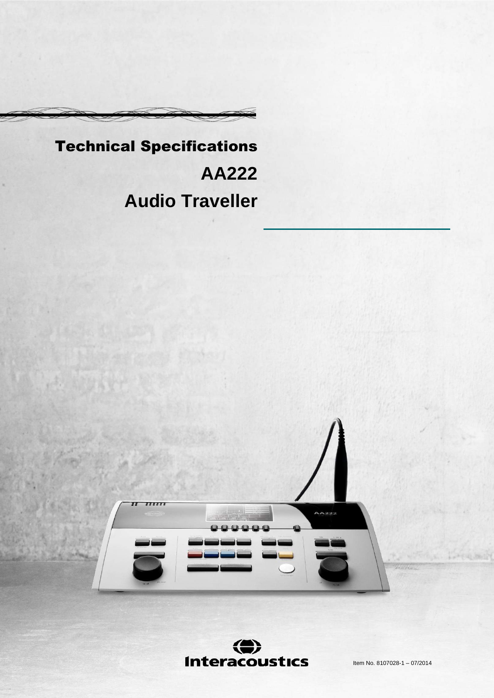# Technical Specifications **AA222 Audio Traveller**



⇔ **Interacoustics** 

Item No. 8107028-1 – 07/2014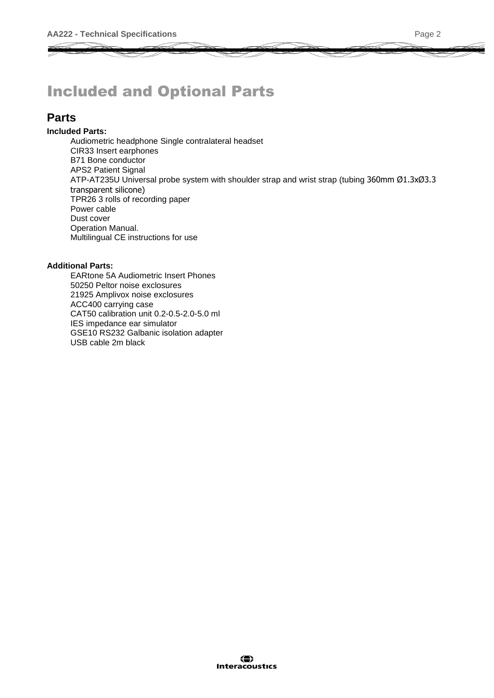# Included and Optional Parts

### **Parts**

#### **Included Parts:**

Audiometric headphone Single contralateral headset CIR33 Insert earphones B71 Bone conductor APS2 Patient Signal ATP-AT235U Universal probe system with shoulder strap and wrist strap (tubing 360mm Ø1.3xØ3.3 transparent silicone) TPR26 3 rolls of recording paper Power cable Dust cover Operation Manual. Multilingual CE instructions for use

#### **Additional Parts:**

EARtone 5A Audiometric Insert Phones 50250 Peltor noise exclosures 21925 Amplivox noise exclosures ACC400 carrying case CAT50 calibration unit 0.2-0.5-2.0-5.0 ml IES impedance ear simulator GSE10 RS232 Galbanic isolation adapter USB cable 2m black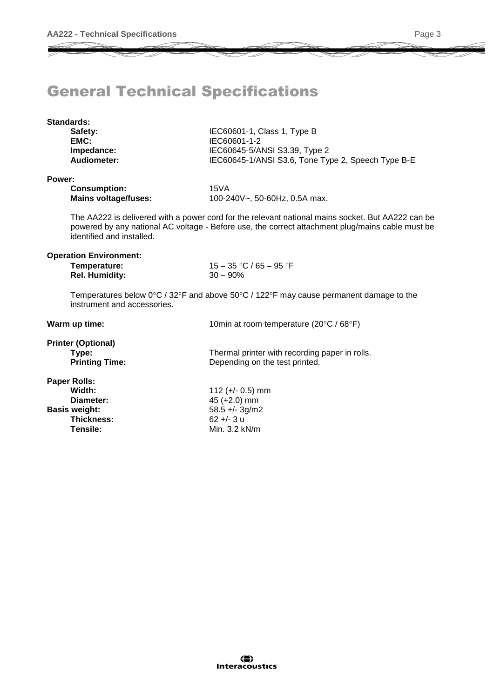# General Technical Specifications

| <b>Standards:</b><br>Safety: | IEC60601-1, Class 1, Type B                        |
|------------------------------|----------------------------------------------------|
| EMC:                         | IEC60601-1-2                                       |
| Impedance:                   | IEC60645-5/ANSI S3.39, Type 2                      |
| Audiometer:                  | IEC60645-1/ANSI S3.6, Tone Type 2, Speech Type B-E |
| Power:                       |                                                    |

#### **Power:**

| <b>Consumption:</b>         | 15VA                          |
|-----------------------------|-------------------------------|
| <b>Mains voltage/fuses:</b> | 100-240V~, 50-60Hz, 0.5A max. |

The AA222 is delivered with a power cord for the relevant national mains socket. But AA222 can be powered by any national AC voltage - Before use, the correct attachment plug/mains cable must be identified and installed.

#### **Operation Environment:**

| Temperature:          | 15 – 35 °C / 65 – 95 °F |
|-----------------------|-------------------------|
| <b>Rel. Humidity:</b> | $30 - 90\%$             |

Temperatures below  $0^{\circ}$ C / 32°F and above 50°C / 122°F may cause permanent damage to the instrument and accessories.

| Warm up time:                                               | 10min at room temperature (20°C / 68°F)                                          |
|-------------------------------------------------------------|----------------------------------------------------------------------------------|
| <b>Printer (Optional)</b><br>Type:<br><b>Printing Time:</b> | Thermal printer with recording paper in rolls.<br>Depending on the test printed. |
| Paper Rolls:                                                |                                                                                  |
| Width:                                                      | 112 ( $+/-$ 0.5) mm                                                              |
| Diameter:                                                   | 45 (+2.0) mm                                                                     |
| <b>Basis weight:</b>                                        | $58.5 +/- 3g/m2$                                                                 |
| Thickness:                                                  | $62 + - 3 u$                                                                     |
| Tensile:                                                    | Min. 3.2 kN/m                                                                    |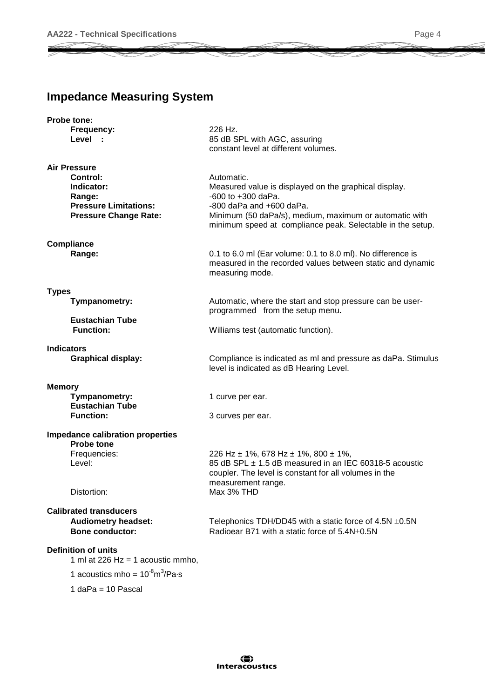### **Impedance Measuring System**

| Probe tone:                |                                                                                                  |                                                                                                                                                                                                                                                       |
|----------------------------|--------------------------------------------------------------------------------------------------|-------------------------------------------------------------------------------------------------------------------------------------------------------------------------------------------------------------------------------------------------------|
|                            | Frequency:<br>Level :                                                                            | 226 Hz.<br>85 dB SPL with AGC, assuring<br>constant level at different volumes.                                                                                                                                                                       |
|                            |                                                                                                  |                                                                                                                                                                                                                                                       |
| <b>Air Pressure</b>        | Control:<br>Indicator:<br>Range:<br><b>Pressure Limitations:</b><br><b>Pressure Change Rate:</b> | Automatic.<br>Measured value is displayed on the graphical display.<br>$-600$ to $+300$ daPa.<br>$-800$ daPa and $+600$ daPa.<br>Minimum (50 daPa/s), medium, maximum or automatic with<br>minimum speed at compliance peak. Selectable in the setup. |
| Compliance                 |                                                                                                  |                                                                                                                                                                                                                                                       |
|                            | Range:                                                                                           | 0.1 to 6.0 ml (Ear volume: 0.1 to 8.0 ml). No difference is<br>measured in the recorded values between static and dynamic<br>measuring mode.                                                                                                          |
| <b>Types</b>               |                                                                                                  |                                                                                                                                                                                                                                                       |
|                            | Tympanometry:                                                                                    | Automatic, where the start and stop pressure can be user-<br>programmed from the setup menu.                                                                                                                                                          |
|                            | <b>Eustachian Tube</b><br><b>Function:</b>                                                       | Williams test (automatic function).                                                                                                                                                                                                                   |
| <b>Indicators</b>          | <b>Graphical display:</b>                                                                        | Compliance is indicated as ml and pressure as daPa. Stimulus                                                                                                                                                                                          |
|                            |                                                                                                  | level is indicated as dB Hearing Level.                                                                                                                                                                                                               |
| <b>Memory</b>              |                                                                                                  |                                                                                                                                                                                                                                                       |
|                            | Tympanometry:                                                                                    | 1 curve per ear.                                                                                                                                                                                                                                      |
|                            | <b>Eustachian Tube</b><br><b>Function:</b>                                                       | 3 curves per ear.                                                                                                                                                                                                                                     |
|                            | <b>Impedance calibration properties</b><br>Probe tone                                            |                                                                                                                                                                                                                                                       |
|                            | Frequencies:                                                                                     | 226 Hz $\pm$ 1%, 678 Hz $\pm$ 1%, 800 $\pm$ 1%,                                                                                                                                                                                                       |
| Level:                     |                                                                                                  | 85 dB SPL ± 1.5 dB measured in an IEC 60318-5 acoustic<br>coupler. The level is constant for all volumes in the                                                                                                                                       |
|                            | Distortion:                                                                                      | measurement range.<br>Max 3% THD                                                                                                                                                                                                                      |
|                            | <b>Calibrated transducers</b>                                                                    |                                                                                                                                                                                                                                                       |
|                            | <b>Audiometry headset:</b>                                                                       | Telephonics TDH/DD45 with a static force of 4.5N ±0.5N                                                                                                                                                                                                |
|                            | <b>Bone conductor:</b>                                                                           | Radioear B71 with a static force of 5.4N±0.5N                                                                                                                                                                                                         |
| <b>Definition of units</b> | 1 ml at 226 Hz = 1 acoustic mmho,                                                                |                                                                                                                                                                                                                                                       |
|                            | 1 acoustics mho = $10^{-8} \text{m}^3/\text{Pa} \cdot \text{s}$                                  |                                                                                                                                                                                                                                                       |
|                            | $1$ daPa = 10 Pascal                                                                             |                                                                                                                                                                                                                                                       |
|                            |                                                                                                  |                                                                                                                                                                                                                                                       |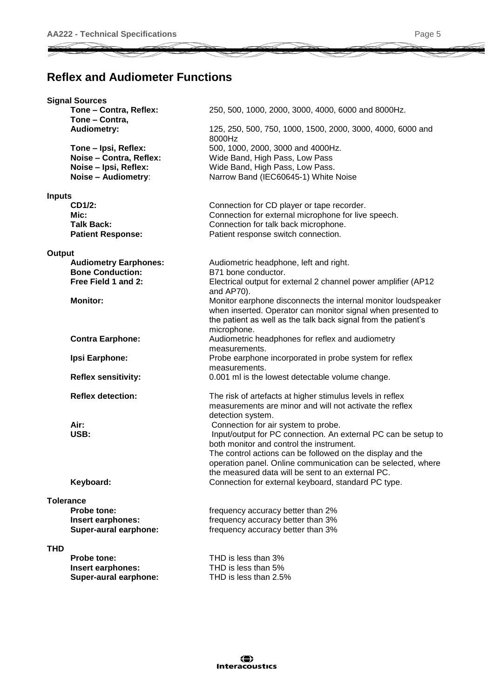### **Reflex and Audiometer Functions**

|               | <b>Signal Sources</b>        |                                                                      |
|---------------|------------------------------|----------------------------------------------------------------------|
|               | Tone - Contra, Reflex:       | 250, 500, 1000, 2000, 3000, 4000, 6000 and 8000Hz.                   |
|               | Tone - Contra,               |                                                                      |
|               | <b>Audiometry:</b>           | 125, 250, 500, 750, 1000, 1500, 2000, 3000, 4000, 6000 and<br>8000Hz |
|               | Tone - Ipsi, Reflex:         | 500, 1000, 2000, 3000 and 4000Hz.                                    |
|               | Noise - Contra, Reflex:      | Wide Band, High Pass, Low Pass                                       |
|               | Noise - Ipsi, Reflex:        | Wide Band, High Pass, Low Pass.                                      |
|               | Noise - Audiometry:          | Narrow Band (IEC60645-1) White Noise                                 |
|               |                              |                                                                      |
| <b>Inputs</b> |                              |                                                                      |
|               | CD1/2:                       | Connection for CD player or tape recorder.                           |
|               | Mic:                         | Connection for external microphone for live speech.                  |
|               | <b>Talk Back:</b>            | Connection for talk back microphone.                                 |
|               | <b>Patient Response:</b>     | Patient response switch connection.                                  |
| Output        |                              |                                                                      |
|               | <b>Audiometry Earphones:</b> | Audiometric headphone, left and right.                               |
|               | <b>Bone Conduction:</b>      | B71 bone conductor.                                                  |
|               | Free Field 1 and 2:          | Electrical output for external 2 channel power amplifier (AP12       |
|               |                              | and AP70).                                                           |
|               | <b>Monitor:</b>              | Monitor earphone disconnects the internal monitor loudspeaker        |
|               |                              | when inserted. Operator can monitor signal when presented to         |
|               |                              | the patient as well as the talk back signal from the patient's       |
|               |                              | microphone.                                                          |
|               | <b>Contra Earphone:</b>      | Audiometric headphones for reflex and audiometry                     |
|               |                              | measurements.                                                        |
|               | Ipsi Earphone:               | Probe earphone incorporated in probe system for reflex               |
|               |                              | measurements.                                                        |
|               | <b>Reflex sensitivity:</b>   | 0.001 ml is the lowest detectable volume change.                     |
|               |                              |                                                                      |
|               | <b>Reflex detection:</b>     | The risk of artefacts at higher stimulus levels in reflex            |
|               |                              | measurements are minor and will not activate the reflex              |
|               |                              | detection system.                                                    |
|               | Air:                         | Connection for air system to probe.                                  |
|               | USB:                         | Input/output for PC connection. An external PC can be setup to       |
|               |                              | both monitor and control the instrument.                             |
|               |                              | The control actions can be followed on the display and the           |
|               |                              | operation panel. Online communication can be selected, where         |
|               |                              | the measured data will be sent to an external PC.                    |
|               | Keyboard:                    | Connection for external keyboard, standard PC type.                  |
|               |                              |                                                                      |
|               | <b>Tolerance</b>             |                                                                      |
|               | <b>Probe tone:</b>           | frequency accuracy better than 2%                                    |
|               | Insert earphones:            | frequency accuracy better than 3%                                    |
|               | Super-aural earphone:        | frequency accuracy better than 3%                                    |
| <b>THD</b>    |                              |                                                                      |
|               | <b>Probe tone:</b>           | THD is less than 3%                                                  |
|               | Insert earphones:            | THD is less than 5%                                                  |
|               | Super-aural earphone:        | THD is less than 2.5%                                                |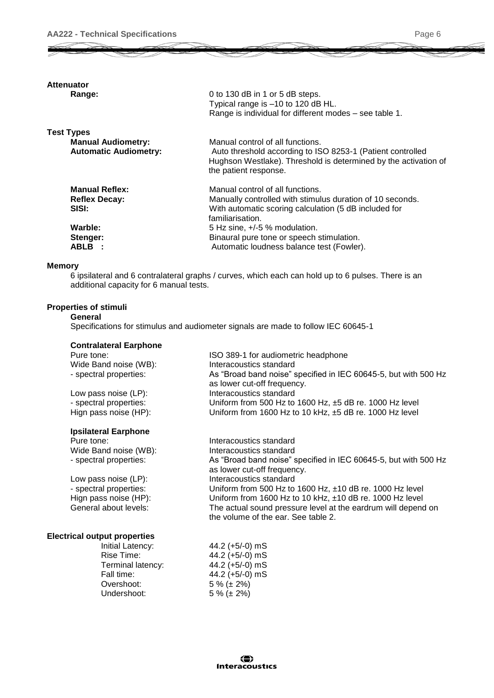#### **Attenuator**

| Range: |
|--------|
|--------|

| Range:                       | 0 to 130 dB in 1 or 5 dB steps.                                                                                                                        |
|------------------------------|--------------------------------------------------------------------------------------------------------------------------------------------------------|
|                              | Typical range is -10 to 120 dB HL.                                                                                                                     |
|                              | Range is individual for different modes - see table 1.                                                                                                 |
| <b>Test Types</b>            |                                                                                                                                                        |
| <b>Manual Audiometry:</b>    | Manual control of all functions.                                                                                                                       |
| <b>Automatic Audiometry:</b> | Auto threshold according to ISO 8253-1 (Patient controlled<br>Hughson Westlake). Threshold is determined by the activation of<br>the patient response. |
| <b>Manual Reflex:</b>        | Manual control of all functions.                                                                                                                       |
| <b>Reflex Decay:</b>         | Manually controlled with stimulus duration of 10 seconds.                                                                                              |
| SISI:                        | With automatic scoring calculation (5 dB included for<br>familiarisation.                                                                              |
| Warble:                      | $5$ Hz sine, $+/-5$ % modulation.                                                                                                                      |
| Stenger:                     | Binaural pure tone or speech stimulation.                                                                                                              |
| <b>ABLB :</b>                | Automatic loudness balance test (Fowler).                                                                                                              |
|                              |                                                                                                                                                        |

#### **Memory**

6 ipsilateral and 6 contralateral graphs / curves, which each can hold up to 6 pulses. There is an additional capacity for 6 manual tests.

#### **Properties of stimuli**

**General** Specifications for stimulus and audiometer signals are made to follow IEC 60645-1

#### **Contralateral Earphone**

| Pure tone:             | ISO 389-1 for audiometric headphone                                                            |
|------------------------|------------------------------------------------------------------------------------------------|
| Wide Band noise (WB):  | Interacoustics standard                                                                        |
| - spectral properties: | As "Broad band noise" specified in IEC 60645-5, but with 500 Hz<br>as lower cut-off frequency. |
| Low pass noise (LP):   | Interacoustics standard                                                                        |
| - spectral properties: | Uniform from 500 Hz to 1600 Hz, $\pm$ 5 dB re. 1000 Hz level                                   |
| Hign pass noise (HP):  | Uniform from 1600 Hz to 10 kHz, ±5 dB re. 1000 Hz level                                        |
|                        |                                                                                                |

#### **Ipsilateral Earphone**

| Interacoustics standard                                         |
|-----------------------------------------------------------------|
| Interacoustics standard                                         |
| As "Broad band noise" specified in IEC 60645-5, but with 500 Hz |
| as lower cut-off frequency.                                     |
| Interacoustics standard                                         |
| Uniform from 500 Hz to 1600 Hz, $±10$ dB re. 1000 Hz level      |
| Uniform from 1600 Hz to 10 kHz, ±10 dB re. 1000 Hz level        |
| The actual sound pressure level at the eardrum will depend on   |
| the volume of the ear. See table 2.                             |
|                                                                 |

#### **Electrical output properties**

| 44.2 (+5/-0) mS   |
|-------------------|
| 44.2 (+5/-0) mS   |
| 44.2 (+5/-0) mS   |
| 44.2 (+5/-0) mS   |
| $5\%$ ( $\pm$ 2%) |
| $5\%$ (± 2%)      |
|                   |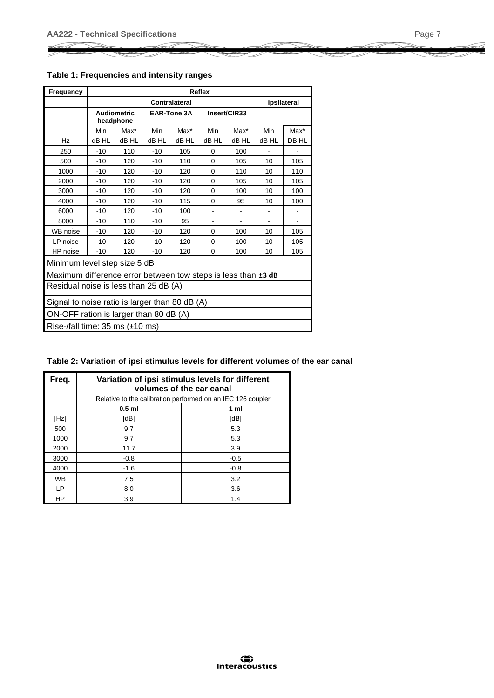| <b>Frequency</b>                                              |       | <b>Reflex</b>                   |                    |                    |          |              |       |         |  |  |  |
|---------------------------------------------------------------|-------|---------------------------------|--------------------|--------------------|----------|--------------|-------|---------|--|--|--|
|                                                               |       |                                 | <b>Ipsilateral</b> |                    |          |              |       |         |  |  |  |
|                                                               |       | <b>Audiometric</b><br>headphone |                    | <b>EAR-Tone 3A</b> |          | Insert/CIR33 |       |         |  |  |  |
|                                                               | Min   | Max*                            | Min                | $Max^*$            | Min      | Max*         | Min   | $Max^*$ |  |  |  |
| Hz                                                            | dB HL | dB HL                           | dB HL              | dB HL              | dB HL    | dB HL        | dB HL | DB HL   |  |  |  |
| 250                                                           | $-10$ | 110                             | $-10$              | 105                | $\Omega$ | 100          |       |         |  |  |  |
| 500                                                           | $-10$ | 120                             | $-10$              | 110                | $\Omega$ | 105          | 10    | 105     |  |  |  |
| 1000                                                          | $-10$ | 120                             | $-10$              | 120                | 0        | 110          | 10    | 110     |  |  |  |
| 2000                                                          | $-10$ | 120                             | $-10$              | 120                | $\Omega$ | 105          | 10    | 105     |  |  |  |
| 3000                                                          | $-10$ | 120                             | $-10$              | 120<br>$\Omega$    |          | 100          | 10    | 100     |  |  |  |
| 4000                                                          | $-10$ | 120                             | $-10$              | 115                | $\Omega$ | 95           | 10    | 100     |  |  |  |
| 6000                                                          | -10   | 120                             | $-10$              | 100                |          |              |       |         |  |  |  |
| 8000                                                          | $-10$ | 110                             | $-10$              | 95                 |          |              |       |         |  |  |  |
| WB noise                                                      | $-10$ | 120                             | $-10$              | 120                | $\Omega$ | 100          | 10    | 105     |  |  |  |
| LP noise                                                      | $-10$ | 120                             | $-10$              | 120                | $\Omega$ | 100          | 10    | 105     |  |  |  |
| HP noise                                                      | $-10$ | 120                             | $-10$              | 120                | 0        | 100          | 10    | 105     |  |  |  |
| Minimum level step size 5 dB                                  |       |                                 |                    |                    |          |              |       |         |  |  |  |
| Maximum difference error between tow steps is less than ±3 dB |       |                                 |                    |                    |          |              |       |         |  |  |  |
| Residual noise is less than 25 dB (A)                         |       |                                 |                    |                    |          |              |       |         |  |  |  |
| Signal to noise ratio is larger than 80 dB (A)                |       |                                 |                    |                    |          |              |       |         |  |  |  |
| ON-OFF ration is larger than 80 dB (A)                        |       |                                 |                    |                    |          |              |       |         |  |  |  |
| Rise-/fall time: $35 \text{ ms } (\pm 10 \text{ ms})$         |       |                                 |                    |                    |          |              |       |         |  |  |  |

| Freq.     | Variation of ipsi stimulus levels for different<br>volumes of the ear canal |                |  |  |  |  |  |  |  |  |
|-----------|-----------------------------------------------------------------------------|----------------|--|--|--|--|--|--|--|--|
|           | Relative to the calibration performed on an IEC 126 coupler                 |                |  |  |  |  |  |  |  |  |
|           | $0.5$ ml                                                                    | 1 <sub>m</sub> |  |  |  |  |  |  |  |  |
| [Hz]      | [dB]                                                                        | [dB]           |  |  |  |  |  |  |  |  |
| 500       | 9.7                                                                         | 5.3            |  |  |  |  |  |  |  |  |
| 1000      | 9.7                                                                         | 5.3            |  |  |  |  |  |  |  |  |
| 2000      | 11.7                                                                        | 3.9            |  |  |  |  |  |  |  |  |
| 3000      | $-0.8$                                                                      | $-0.5$         |  |  |  |  |  |  |  |  |
| 4000      | $-1.6$                                                                      | $-0.8$         |  |  |  |  |  |  |  |  |
| <b>WB</b> | 7.5                                                                         | 3.2            |  |  |  |  |  |  |  |  |
| <b>LP</b> | 8.0                                                                         | 3.6            |  |  |  |  |  |  |  |  |
| HP        | 3.9                                                                         | 1.4            |  |  |  |  |  |  |  |  |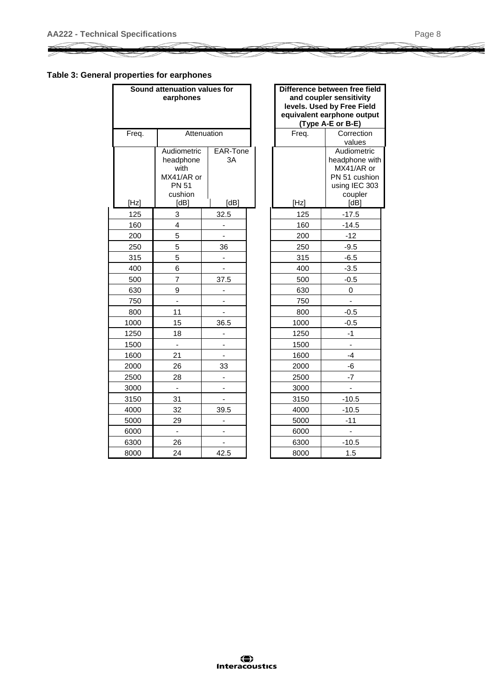#### **Table 3: General properties for earphones**

|       | Sound attenuation values for<br>earphones                                         |                              |       | Difference between free fie<br>and coupler sensitivity<br>levels. Used by Free Field<br>equivalent earphone outpu<br>(Type A-E or B-E) |
|-------|-----------------------------------------------------------------------------------|------------------------------|-------|----------------------------------------------------------------------------------------------------------------------------------------|
| Freq. |                                                                                   | Attenuation                  | Freq. | Correction<br>values                                                                                                                   |
| [Hz]  | Audiometric<br>headphone<br>with<br>MX41/AR or<br><b>PN 51</b><br>cushion<br>[dB] | EAR-Tone<br>3A<br>[dB]       | [Hz]  | Audiometric<br>headphone w<br>MX41/AR or<br>PN 51 cushic<br>using IEC 30<br>coupler<br>[dB]                                            |
| 125   | 3                                                                                 | 32.5                         | 125   | $-17.5$                                                                                                                                |
| 160   | 4                                                                                 |                              | 160   | $-14.5$                                                                                                                                |
| 200   | 5                                                                                 |                              | 200   | $-12$                                                                                                                                  |
| 250   | 5                                                                                 | 36                           | 250   | $-9.5$                                                                                                                                 |
| 315   | 5                                                                                 | $\overline{\phantom{a}}$     | 315   | $-6.5$                                                                                                                                 |
| 400   | 6                                                                                 |                              | 400   | $-3.5$                                                                                                                                 |
| 500   | $\overline{7}$                                                                    | 37.5                         | 500   | $-0.5$                                                                                                                                 |
| 630   | 9                                                                                 | -                            | 630   | 0                                                                                                                                      |
| 750   |                                                                                   |                              | 750   |                                                                                                                                        |
| 800   | 11                                                                                | -                            | 800   | $-0.5$                                                                                                                                 |
| 1000  | 15                                                                                | 36.5                         | 1000  | $-0.5$                                                                                                                                 |
| 1250  | 18                                                                                |                              | 1250  | $-1$                                                                                                                                   |
| 1500  | $\qquad \qquad \blacksquare$                                                      |                              | 1500  |                                                                                                                                        |
| 1600  | 21                                                                                |                              | 1600  | -4                                                                                                                                     |
| 2000  | 26                                                                                | 33                           | 2000  | -6                                                                                                                                     |
| 2500  | 28                                                                                | L,                           | 2500  | $-7$                                                                                                                                   |
| 3000  | $\overline{a}$                                                                    |                              | 3000  | ä,                                                                                                                                     |
| 3150  | 31                                                                                |                              | 3150  | $-10.5$                                                                                                                                |
| 4000  | 32                                                                                | 39.5                         | 4000  | $-10.5$                                                                                                                                |
| 5000  | 29                                                                                |                              | 5000  | $-11$                                                                                                                                  |
| 6000  | $\blacksquare$                                                                    |                              | 6000  |                                                                                                                                        |
| 6300  | 26                                                                                | $\qquad \qquad \blacksquare$ | 6300  | $-10.5$                                                                                                                                |
| 8000  | 24                                                                                | 42.5                         | 8000  | 1.5                                                                                                                                    |

| Difference between free field<br>and coupler sensitivity<br>levels. Used by Free Field<br>equivalent earphone output<br>(Type A-E or B-E) |                                |  |  |  |  |  |  |  |  |
|-------------------------------------------------------------------------------------------------------------------------------------------|--------------------------------|--|--|--|--|--|--|--|--|
| Frea.                                                                                                                                     | Correction                     |  |  |  |  |  |  |  |  |
|                                                                                                                                           | values                         |  |  |  |  |  |  |  |  |
|                                                                                                                                           | Audiometric                    |  |  |  |  |  |  |  |  |
|                                                                                                                                           | headphone with                 |  |  |  |  |  |  |  |  |
|                                                                                                                                           | MX41/AR or                     |  |  |  |  |  |  |  |  |
|                                                                                                                                           | PN 51 cushion<br>using IEC 303 |  |  |  |  |  |  |  |  |
|                                                                                                                                           | coupler                        |  |  |  |  |  |  |  |  |
| [Hz]                                                                                                                                      | [dB]                           |  |  |  |  |  |  |  |  |
| 125                                                                                                                                       | $-17.5$                        |  |  |  |  |  |  |  |  |
| 160                                                                                                                                       | $-14.5$                        |  |  |  |  |  |  |  |  |
| 200                                                                                                                                       | $-12$                          |  |  |  |  |  |  |  |  |
| 250                                                                                                                                       | $-9.5$                         |  |  |  |  |  |  |  |  |
| 315                                                                                                                                       | $-6.5$                         |  |  |  |  |  |  |  |  |
| 400                                                                                                                                       | $-3.5$                         |  |  |  |  |  |  |  |  |
| 500                                                                                                                                       | $-0.5$                         |  |  |  |  |  |  |  |  |
| 630                                                                                                                                       | 0                              |  |  |  |  |  |  |  |  |
| 750                                                                                                                                       |                                |  |  |  |  |  |  |  |  |
| 800                                                                                                                                       | $-0.5$                         |  |  |  |  |  |  |  |  |
| 1000                                                                                                                                      | $-0.5$                         |  |  |  |  |  |  |  |  |
| 1250                                                                                                                                      | -1                             |  |  |  |  |  |  |  |  |
| 1500                                                                                                                                      |                                |  |  |  |  |  |  |  |  |
| 1600                                                                                                                                      | -4                             |  |  |  |  |  |  |  |  |
| 2000                                                                                                                                      | -6                             |  |  |  |  |  |  |  |  |
| 2500                                                                                                                                      | -7                             |  |  |  |  |  |  |  |  |
| 3000                                                                                                                                      |                                |  |  |  |  |  |  |  |  |
| 3150                                                                                                                                      | -10.5                          |  |  |  |  |  |  |  |  |
| 4000                                                                                                                                      | $-10.5$                        |  |  |  |  |  |  |  |  |
| 5000                                                                                                                                      | $-11$                          |  |  |  |  |  |  |  |  |
| 6000                                                                                                                                      |                                |  |  |  |  |  |  |  |  |
| 6300                                                                                                                                      | $-10.5$                        |  |  |  |  |  |  |  |  |
| 8000                                                                                                                                      | 1.5                            |  |  |  |  |  |  |  |  |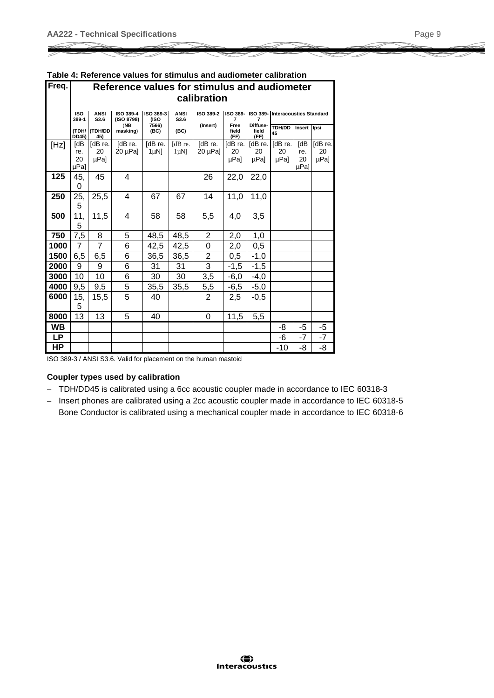| Freq.     |                          | Reference values for stimulus and audiometer |                         |                                                                                                                                        |                      |                        |                       |                           |                       |                          |                       |  |  |
|-----------|--------------------------|----------------------------------------------|-------------------------|----------------------------------------------------------------------------------------------------------------------------------------|----------------------|------------------------|-----------------------|---------------------------|-----------------------|--------------------------|-----------------------|--|--|
|           |                          | calibration                                  |                         |                                                                                                                                        |                      |                        |                       |                           |                       |                          |                       |  |  |
|           | <b>ISO</b><br>389-1      | <b>ANSI</b><br>S3.6                          | ISO 389-4<br>(ISO 8798) | ISO 389-<br>ISO 389-3<br><b>ANSI</b><br>ISO 389-2<br>ISO 389-<br><b>Interacoustics Standard</b><br>S3.6<br>(ISO<br>$\overline{7}$<br>7 |                      |                        |                       |                           |                       |                          |                       |  |  |
|           | (TDH/<br><b>DD45</b> )   | (TDH/DD<br>45)                               | (NB)<br>masking)        | 7566)<br>(BC)                                                                                                                          | (BC)                 | (Insert)               | Free<br>field<br>(FF) | Diffuse-<br>field<br>(FF) | <b>TDH/DD</b><br>45   | Insert Ipsi              |                       |  |  |
| [Hz]      | [dB<br>re.<br>20<br>µPal | [dB re.<br>20<br>µPal                        | [dB re.<br>$20 \mu Pa$  | [dB re.<br>$1 \mu N$                                                                                                                   | [dB re.<br>$1 \mu N$ | [dB re.<br>$20 \mu Pa$ | [dB re.<br>20<br>µPa] | [dB re.]<br>20<br>µPa]    | [dB re.<br>20<br>µPal | [dB<br>re.<br>20<br>µPal | [dB re.<br>20<br>µPa] |  |  |
| 125       | 45,<br>0                 | 45                                           | 4                       |                                                                                                                                        |                      | 26                     | 22,0                  | 22,0                      |                       |                          |                       |  |  |
| 250       | 25,<br>5                 | 25,5                                         | 4                       | 67                                                                                                                                     | 67                   | 14                     | 11,0                  | 11,0                      |                       |                          |                       |  |  |
| 500       | 11,<br>5                 | 11,5                                         | 4                       | 58                                                                                                                                     | 58                   | 5,5                    | 4,0                   | 3,5                       |                       |                          |                       |  |  |
| 750       | 7,5                      | 8                                            | 5                       | 48,5                                                                                                                                   | 48,5                 | $\overline{2}$         | 2,0                   | 1,0                       |                       |                          |                       |  |  |
| 1000      | $\overline{7}$           | 7                                            | 6                       | 42,5                                                                                                                                   | 42,5                 | 0                      | 2,0                   | 0,5                       |                       |                          |                       |  |  |
| 1500      | 6,5                      | 6,5                                          | 6                       | 36,5                                                                                                                                   | 36,5                 | $\overline{2}$         | 0,5                   | $-1,0$                    |                       |                          |                       |  |  |
| 2000      | 9                        | 9                                            | 6                       | 31                                                                                                                                     | 31                   | $\overline{3}$         | $-1,5$                | $-1,5$                    |                       |                          |                       |  |  |
| 3000      | 10                       | 10                                           | 6                       | 30                                                                                                                                     | 30                   | 3,5                    | $-6,0$                | $-4,0$                    |                       |                          |                       |  |  |
| 4000      | 9,5                      | 9,5                                          | 5                       | 35,5                                                                                                                                   | 35,5                 | 5,5                    | $-6,5$                | $-5,0$                    |                       |                          |                       |  |  |
| 6000      | 15,<br>5                 | 15,5                                         | 5                       | 40                                                                                                                                     |                      | $\overline{2}$         | 2,5                   | -0,5                      |                       |                          |                       |  |  |
| 8000      | 13                       | 13                                           | 5                       | 40                                                                                                                                     |                      | 0                      | 11,5                  | 5,5                       |                       |                          |                       |  |  |
| <b>WB</b> |                          |                                              |                         |                                                                                                                                        |                      |                        |                       |                           | -8                    | -5                       | -5                    |  |  |
| <b>LP</b> |                          |                                              |                         |                                                                                                                                        |                      |                        |                       |                           | -6                    | $-7$                     | $-7$                  |  |  |
| HP        |                          |                                              |                         |                                                                                                                                        |                      |                        |                       |                           | -10                   | -8                       | -8                    |  |  |

| Table 4: Reference values for stimulus and audiometer calibration |  |  |  |  |
|-------------------------------------------------------------------|--|--|--|--|
|-------------------------------------------------------------------|--|--|--|--|

ISO 389-3 / ANSI S3.6. Valid for placement on the human mastoid

#### **Coupler types used by calibration**

- TDH/DD45 is calibrated using a 6cc acoustic coupler made in accordance to IEC 60318-3
- Insert phones are calibrated using a 2cc acoustic coupler made in accordance to IEC 60318-5
- Bone Conductor is calibrated using a mechanical coupler made in accordance to IEC 60318-6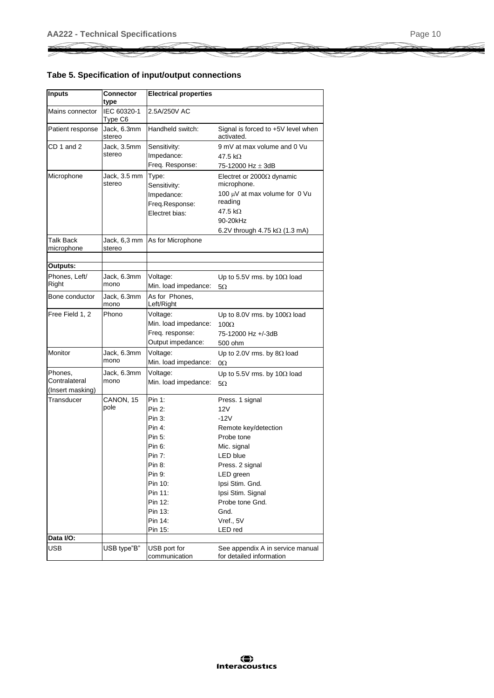### **Tabe 5. Specification of input/output connections**

| <b>Inputs</b>           | Connector<br>type      | <b>Electrical properties</b>        |                                                                                              |
|-------------------------|------------------------|-------------------------------------|----------------------------------------------------------------------------------------------|
| Mains connector         | IEC 60320-1<br>Type C6 | 2.5A/250V AC                        |                                                                                              |
| Patient response        | Jack, 6.3mm<br>stereo  | Handheld switch:                    | Signal is forced to +5V level when<br>activated.                                             |
| CD 1 and 2              | Jack, 3.5mm            | Sensitivity:                        | 9 mV at max volume and 0 Vu                                                                  |
|                         | stereo                 | Impedance:                          | 47.5 k $\Omega$                                                                              |
|                         |                        | Freq. Response:                     | 75-12000 Hz $\pm$ 3dB                                                                        |
| Microphone              | Jack, 3.5 mm<br>stereo | Type:<br>Sensitivity:<br>Impedance: | Electret or 2000 $\Omega$ dynamic<br>microphone.<br>100 µV at max volume for 0 Vu<br>reading |
|                         |                        | Freg.Response:                      | 47.5 k $\Omega$                                                                              |
|                         |                        | Electret bias:                      | 90-20kHz                                                                                     |
|                         |                        |                                     |                                                                                              |
|                         |                        |                                     | 6.2V through 4.75 k $\Omega$ (1.3 mA)                                                        |
| Talk Back<br>microphone | Jack, 6,3 mm<br>stereo | As for Microphone                   |                                                                                              |
| Outputs:                |                        |                                     |                                                                                              |
|                         |                        |                                     |                                                                                              |
| Phones, Left/<br>Right  | Jack, 6.3mm<br>mono    | Voltage:<br>Min. load impedance:    | Up to 5.5V rms. by 10 $\Omega$ load<br>5Ω                                                    |
| Bone conductor          | Jack, 6.3mm<br>mono    | As for Phones,<br>Left/Right        |                                                                                              |
| Free Field 1, 2         | Phono                  | Voltage:                            | Up to 8.0V rms. by 100 $\Omega$ load                                                         |
|                         |                        | Min. load impedance:                | $100\Omega$                                                                                  |
|                         |                        | Freq. response:                     | 75-12000 Hz +/-3dB                                                                           |
|                         |                        | Output impedance:                   | 500 ohm                                                                                      |
| Monitor                 | Jack, 6.3mm            | Voltage:                            | Up to 2.0V rms. by $8\Omega$ load                                                            |
|                         | mono                   | Min. load impedance:                | $\Omega$                                                                                     |
| Phones.                 | Jack, 6.3mm            | Voltage:                            | Up to 5.5V rms. by 10 $\Omega$ load                                                          |
| Contralateral           | mono                   | Min. load impedance:                | 5Ω                                                                                           |
| (Insert masking)        |                        |                                     |                                                                                              |
| Transducer              | CANON, 15              | Pin 1:                              | Press. 1 signal                                                                              |
|                         | pole                   | Pin 2:                              | 12V                                                                                          |
|                         |                        | Pin 3:                              | $-12V$                                                                                       |
|                         |                        | Pin 4:                              | Remote key/detection                                                                         |
|                         |                        | Pin 5:                              | Probe tone                                                                                   |
|                         |                        | Pin 6:                              | Mic. signal                                                                                  |
|                         |                        | Pin 7:                              | <b>LED blue</b>                                                                              |
|                         |                        | Pin 8:                              | Press. 2 signal                                                                              |
|                         |                        | Pin 9:                              | LED green                                                                                    |
|                         |                        | Pin 10:                             | Ipsi Stim. Gnd.                                                                              |
|                         |                        | Pin 11:                             | Ipsi Stim. Signal                                                                            |
|                         |                        | Pin 12:                             | Probe tone Gnd.                                                                              |
|                         |                        | Pin 13:                             | Gnd.                                                                                         |
|                         |                        | Pin 14:                             | Vref., 5V                                                                                    |
|                         |                        | Pin 15:                             | LED red                                                                                      |
| Data I/O:               |                        |                                     |                                                                                              |
| USB                     | USB type"B"            | USB port for<br>communication       | See appendix A in service manual<br>for detailed information                                 |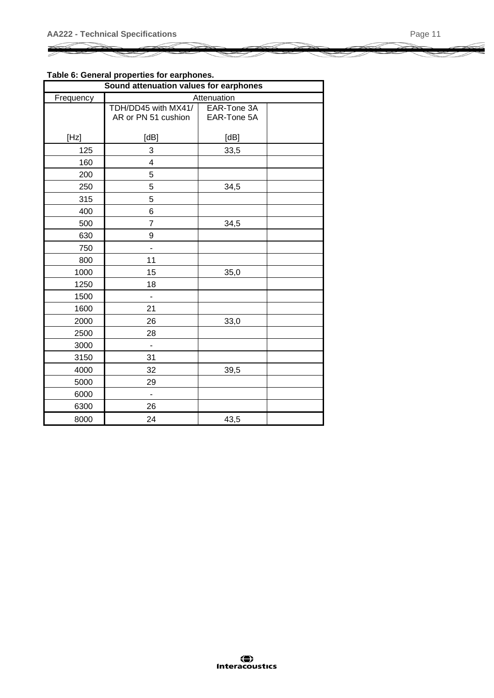#### **Table 6: General properties for earphones.**

|                                                                                                                                                                                                                                                                                                                      | իր այի առանան է առաջ հեռավորական ա<br>Sound attenuation values for earphones |                            |  |
|----------------------------------------------------------------------------------------------------------------------------------------------------------------------------------------------------------------------------------------------------------------------------------------------------------------------|------------------------------------------------------------------------------|----------------------------|--|
| Frequency                                                                                                                                                                                                                                                                                                            |                                                                              | Attenuation                |  |
|                                                                                                                                                                                                                                                                                                                      | TDH/DD45 with MX41/<br>AR or PN 51 cushion                                   | EAR-Tone 3A<br>EAR-Tone 5A |  |
| $[Hz] % \includegraphics[width=0.9\columnwidth]{figures/fig_2b} \caption{The average mass of the parameter $\gamma$ (top) and the average mass of the parameter $\gamma$ (bottom) and the average mass of the parameter $\gamma$ (bottom) and the average mass of the parameter $\gamma$ (bottom).} \label{fig:1} %$ | [dB]                                                                         | [dB]                       |  |
| 125                                                                                                                                                                                                                                                                                                                  | 3                                                                            | 33,5                       |  |
| 160                                                                                                                                                                                                                                                                                                                  | $\overline{\mathbf{4}}$                                                      |                            |  |
| 200                                                                                                                                                                                                                                                                                                                  | 5                                                                            |                            |  |
| 250                                                                                                                                                                                                                                                                                                                  | 5                                                                            | 34,5                       |  |
| 315                                                                                                                                                                                                                                                                                                                  | 5                                                                            |                            |  |
| 400                                                                                                                                                                                                                                                                                                                  | $6\phantom{1}6$                                                              |                            |  |
| 500                                                                                                                                                                                                                                                                                                                  | $\overline{7}$                                                               | 34,5                       |  |
| 630                                                                                                                                                                                                                                                                                                                  | 9                                                                            |                            |  |
| 750                                                                                                                                                                                                                                                                                                                  | $\blacksquare$                                                               |                            |  |
| 800                                                                                                                                                                                                                                                                                                                  | 11                                                                           |                            |  |
| 1000                                                                                                                                                                                                                                                                                                                 | 15                                                                           | 35,0                       |  |
| 1250                                                                                                                                                                                                                                                                                                                 | 18                                                                           |                            |  |
| 1500                                                                                                                                                                                                                                                                                                                 | $\overline{\phantom{a}}$                                                     |                            |  |
| 1600                                                                                                                                                                                                                                                                                                                 | 21                                                                           |                            |  |
| 2000                                                                                                                                                                                                                                                                                                                 | 26                                                                           | 33,0                       |  |
| 2500                                                                                                                                                                                                                                                                                                                 | 28                                                                           |                            |  |
| 3000                                                                                                                                                                                                                                                                                                                 | $\blacksquare$                                                               |                            |  |
| 3150                                                                                                                                                                                                                                                                                                                 | 31                                                                           |                            |  |
| 4000                                                                                                                                                                                                                                                                                                                 | 32                                                                           | 39,5                       |  |
| 5000                                                                                                                                                                                                                                                                                                                 | 29                                                                           |                            |  |
| 6000                                                                                                                                                                                                                                                                                                                 | $\blacksquare$                                                               |                            |  |
| 6300                                                                                                                                                                                                                                                                                                                 | 26                                                                           |                            |  |
| 8000                                                                                                                                                                                                                                                                                                                 | 24                                                                           | 43,5                       |  |